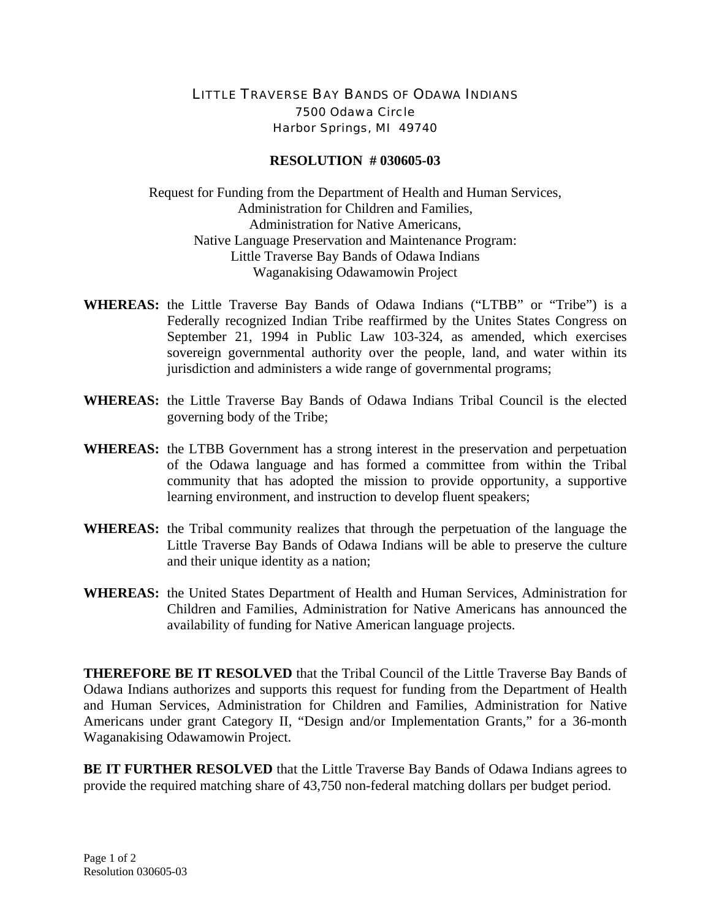## LITTLE TRAVERSE BAY BANDS OF ODAWA INDIANS 7500 Odawa Circle Harbor Springs, MI 49740

## **RESOLUTION # 030605-03**

Request for Funding from the Department of Health and Human Services, Administration for Children and Families, Administration for Native Americans, Native Language Preservation and Maintenance Program: Little Traverse Bay Bands of Odawa Indians Waganakising Odawamowin Project

- **WHEREAS:** the Little Traverse Bay Bands of Odawa Indians ("LTBB" or "Tribe") is a Federally recognized Indian Tribe reaffirmed by the Unites States Congress on September 21, 1994 in Public Law 103-324, as amended, which exercises sovereign governmental authority over the people, land, and water within its jurisdiction and administers a wide range of governmental programs;
- **WHEREAS:** the Little Traverse Bay Bands of Odawa Indians Tribal Council is the elected governing body of the Tribe;
- **WHEREAS:** the LTBB Government has a strong interest in the preservation and perpetuation of the Odawa language and has formed a committee from within the Tribal community that has adopted the mission to provide opportunity, a supportive learning environment, and instruction to develop fluent speakers;
- **WHEREAS:** the Tribal community realizes that through the perpetuation of the language the Little Traverse Bay Bands of Odawa Indians will be able to preserve the culture and their unique identity as a nation;
- **WHEREAS:** the United States Department of Health and Human Services, Administration for Children and Families, Administration for Native Americans has announced the availability of funding for Native American language projects.

**THEREFORE BE IT RESOLVED** that the Tribal Council of the Little Traverse Bay Bands of Odawa Indians authorizes and supports this request for funding from the Department of Health and Human Services, Administration for Children and Families, Administration for Native Americans under grant Category II, "Design and/or Implementation Grants," for a 36-month Waganakising Odawamowin Project.

**BE IT FURTHER RESOLVED** that the Little Traverse Bay Bands of Odawa Indians agrees to provide the required matching share of 43,750 non-federal matching dollars per budget period.